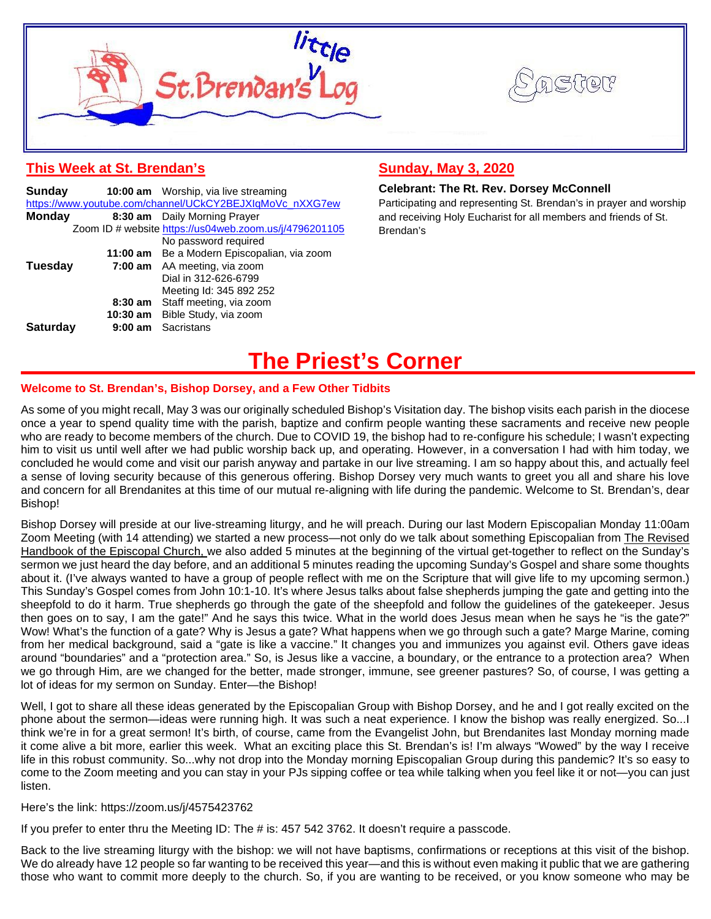



# **This Week at St. Brendan's**

| Sunday          |         | 10:00 am Worship, via live streaming                     |
|-----------------|---------|----------------------------------------------------------|
|                 |         | https://www.youtube.com/channel/UCkCY2BEJXIqMoVc_nXXG7ew |
| <b>Monday</b>   |         | 8:30 am Daily Morning Prayer                             |
|                 |         | Zoom ID # website https://us04web.zoom.us/j/4796201105   |
|                 |         | No password required                                     |
|                 |         | 11:00 am Be a Modern Episcopalian, via zoom              |
| Tuesday         |         | 7:00 am AA meeting, via zoom                             |
|                 |         | Dial in 312-626-6799                                     |
|                 |         | Meeting Id: 345 892 252                                  |
|                 |         | 8:30 am Staff meeting, via zoom                          |
|                 |         | 10:30 am Bible Study, via zoom                           |
| <b>Saturday</b> | 9:00 am | Sacristans                                               |

# **Sunday, May 3, 2020**

### **Celebrant: The Rt. Rev. Dorsey McConnell**

Participating and representing St. Brendan's in prayer and worship and receiving Holy Eucharist for all members and friends of St. Brendan's

# **The Priest's Corner**

### **Welcome to St. Brendan's, Bishop Dorsey, and a Few Other Tidbits**

As some of you might recall, May 3 was our originally scheduled Bishop's Visitation day. The bishop visits each parish in the diocese once a year to spend quality time with the parish, baptize and confirm people wanting these sacraments and receive new people who are ready to become members of the church. Due to COVID 19, the bishop had to re-configure his schedule; I wasn't expecting him to visit us until well after we had public worship back up, and operating. However, in a conversation I had with him today, we concluded he would come and visit our parish anyway and partake in our live streaming. I am so happy about this, and actually feel a sense of loving security because of this generous offering. Bishop Dorsey very much wants to greet you all and share his love and concern for all Brendanites at this time of our mutual re-aligning with life during the pandemic. Welcome to St. Brendan's, dear Bishop!

Bishop Dorsey will preside at our live-streaming liturgy, and he will preach. During our last Modern Episcopalian Monday 11:00am Zoom Meeting (with 14 attending) we started a new process—not only do we talk about something Episcopalian from The Revised Handbook of the Episcopal Church, we also added 5 minutes at the beginning of the virtual get-together to reflect on the Sunday's sermon we just heard the day before, and an additional 5 minutes reading the upcoming Sunday's Gospel and share some thoughts about it. (I've always wanted to have a group of people reflect with me on the Scripture that will give life to my upcoming sermon.) This Sunday's Gospel comes from John 10:1-10. It's where Jesus talks about false shepherds jumping the gate and getting into the sheepfold to do it harm. True shepherds go through the gate of the sheepfold and follow the guidelines of the gatekeeper. Jesus then goes on to say, I am the gate!" And he says this twice. What in the world does Jesus mean when he says he "is the gate?" Wow! What's the function of a gate? Why is Jesus a gate? What happens when we go through such a gate? Marge Marine, coming from her medical background, said a "gate is like a vaccine." It changes you and immunizes you against evil. Others gave ideas around "boundaries" and a "protection area." So, is Jesus like a vaccine, a boundary, or the entrance to a protection area? When we go through Him, are we changed for the better, made stronger, immune, see greener pastures? So, of course, I was getting a lot of ideas for my sermon on Sunday. Enter—the Bishop!

Well, I got to share all these ideas generated by the Episcopalian Group with Bishop Dorsey, and he and I got really excited on the phone about the sermon—ideas were running high. It was such a neat experience. I know the bishop was really energized. So...I think we're in for a great sermon! It's birth, of course, came from the Evangelist John, but Brendanites last Monday morning made it come alive a bit more, earlier this week. What an exciting place this St. Brendan's is! I'm always "Wowed" by the way I receive life in this robust community. So...why not drop into the Monday morning Episcopalian Group during this pandemic? It's so easy to come to the Zoom meeting and you can stay in your PJs sipping coffee or tea while talking when you feel like it or not—you can just listen.

#### Here's the link: https://zoom.us/j/4575423762

If you prefer to enter thru the Meeting ID: The # is: 457 542 3762. It doesn't require a passcode.

Back to the live streaming liturgy with the bishop: we will not have baptisms, confirmations or receptions at this visit of the bishop. We do already have 12 people so far wanting to be received this year—and this is without even making it public that we are gathering those who want to commit more deeply to the church. So, if you are wanting to be received, or you know someone who may be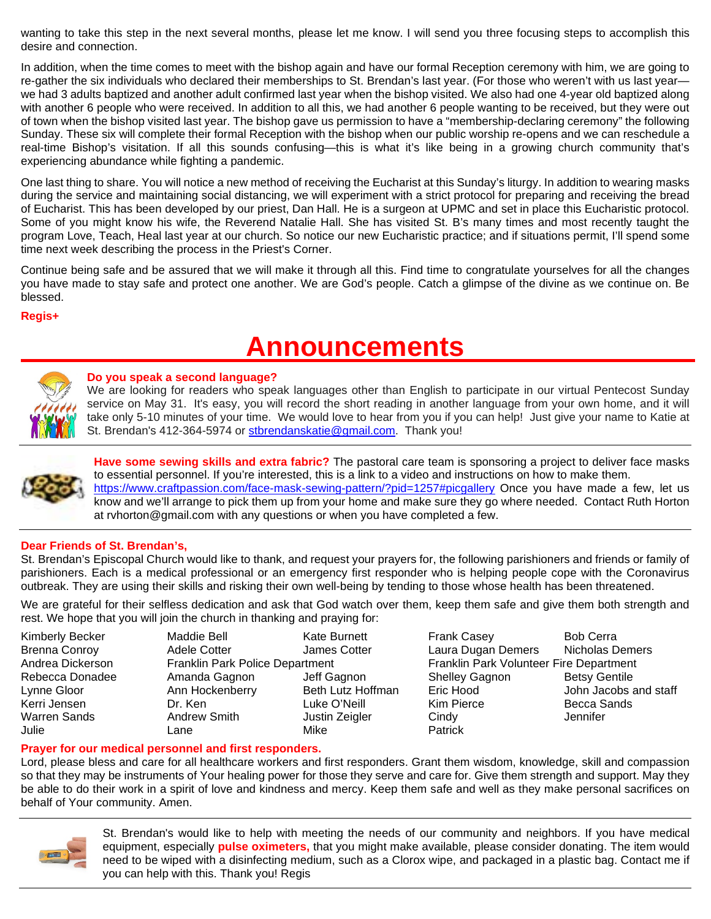wanting to take this step in the next several months, please let me know. I will send you three focusing steps to accomplish this desire and connection.

In addition, when the time comes to meet with the bishop again and have our formal Reception ceremony with him, we are going to re-gather the six individuals who declared their memberships to St. Brendan's last year. (For those who weren't with us last year we had 3 adults baptized and another adult confirmed last year when the bishop visited. We also had one 4-year old baptized along with another 6 people who were received. In addition to all this, we had another 6 people wanting to be received, but they were out of town when the bishop visited last year. The bishop gave us permission to have a "membership-declaring ceremony" the following Sunday. These six will complete their formal Reception with the bishop when our public worship re-opens and we can reschedule a real-time Bishop's visitation. If all this sounds confusing—this is what it's like being in a growing church community that's experiencing abundance while fighting a pandemic.

One last thing to share. You will notice a new method of receiving the Eucharist at this Sunday's liturgy. In addition to wearing masks during the service and maintaining social distancing, we will experiment with a strict protocol for preparing and receiving the bread of Eucharist. This has been developed by our priest, Dan Hall. He is a surgeon at UPMC and set in place this Eucharistic protocol. Some of you might know his wife, the Reverend Natalie Hall. She has visited St. B's many times and most recently taught the program Love, Teach, Heal last year at our church. So notice our new Eucharistic practice; and if situations permit, I'll spend some time next week describing the process in the Priest's Corner.

Continue being safe and be assured that we will make it through all this. Find time to congratulate yourselves for all the changes you have made to stay safe and protect one another. We are God's people. Catch a glimpse of the divine as we continue on. Be blessed.

### **Regis+**

# **Announcements**



# **Do you speak a second language?**

We are looking for readers who speak languages other than English to participate in our virtual Pentecost Sunday service on May 31. It's easy, you will record the short reading in another language from your own home, and it will take only 5-10 minutes of your time. We would love to hear from you if you can help! Just give your name to Katie at St. Brendan's 412-364-5974 or [stbrendanskatie@gmail.com.](mailto:stbrendanskatie@gmail.com) Thank you!



**Have some sewing skills and extra fabric?** The pastoral care team is sponsoring a project to deliver face masks to essential personnel. If you're interested, this is a link to a video and instructions on how to make them. <https://www.craftpassion.com/face-mask-sewing-pattern/?pid=1257#picgallery> Once you have made a few, let us know and we'll arrange to pick them up from your home and make sure they go where needed. Contact Ruth Horton at rvhorton@gmail.com with any questions or when you have completed a few.

# **Dear Friends of St. Brendan's,**

St. Brendan's Episcopal Church would like to thank, and request your prayers for, the following parishioners and friends or family of parishioners. Each is a medical professional or an emergency first responder who is helping people cope with the Coronavirus outbreak. They are using their skills and risking their own well-being by tending to those whose health has been threatened.

We are grateful for their selfless dedication and ask that God watch over them, keep them safe and give them both strength and rest. We hope that you will join the church in thanking and praying for:

| <b>Kimberly Becker</b> |
|------------------------|
| <b>Brenna Conroy</b>   |
| Andrea Dickerson       |
| Rebecca Donadee        |
| Lynne Gloor            |
| Kerri Jensen           |
| Warren Sands           |
| Julie                  |

Julie Lane Mike Patrick

Kimberly Becker Maddie Bell Kate Burnett Frank Casey Bob Cerra Adele Cotter **Conroy Conroy Conroy Content Conveys Cotter** Laura Dugan Demers Nicholas Demers Franklin Park Police Department Franklin Park Volunteer Fire Department Amanda Gagnon Jeff Gagnon Shelley Gagnon Betsy Gentile Ann Hockenberry Beth Lutz Hoffman Eric Hood John Jacobs and staff Kerri Jensen Dr. Ken Luke O'Neill Kim Pierce Becca Sands Warren Sands Andrew Smith Justin Zeigler Cindy Jennifer

# **Prayer for our medical personnel and first responders.**

Lord, please bless and care for all healthcare workers and first responders. Grant them wisdom, knowledge, skill and compassion so that they may be instruments of Your healing power for those they serve and care for. Give them strength and support. May they be able to do their work in a spirit of love and kindness and mercy. Keep them safe and well as they make personal sacrifices on behalf of Your community. Amen.



St. Brendan's would like to help with meeting the needs of our community and neighbors. If you have medical equipment, especially **pulse oximeters,** that you might make available, please consider donating. The item would need to be wiped with a disinfecting medium, such as a Clorox wipe, and packaged in a plastic bag. Contact me if you can help with this. Thank you! Regis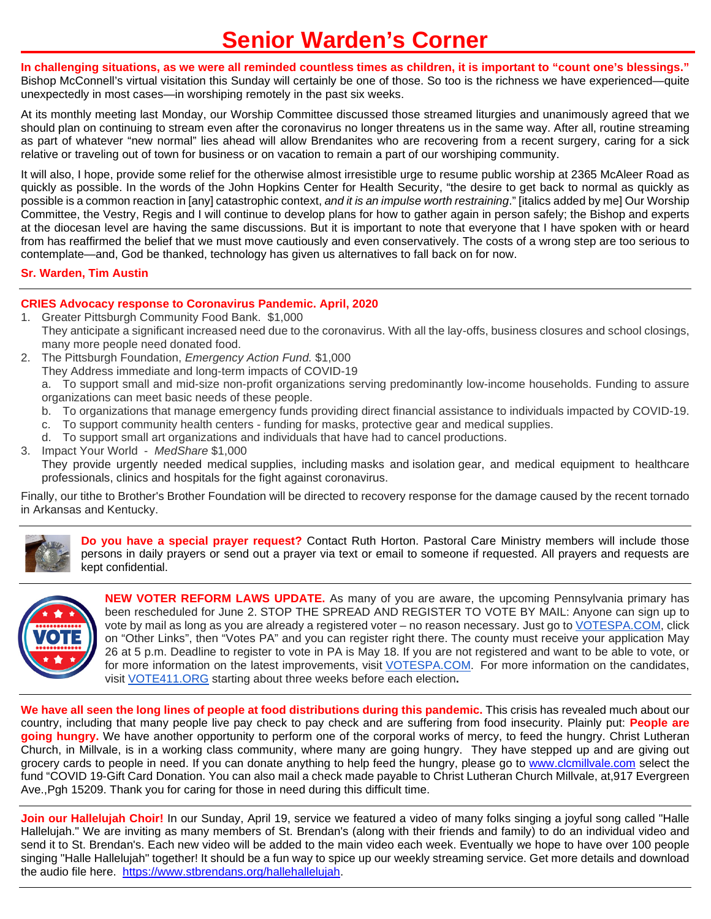# **Senior Warden's Corner**

**In challenging situations, as we were all reminded countless times as children, it is important to "count one's blessings."** Bishop McConnell's virtual visitation this Sunday will certainly be one of those. So too is the richness we have experienced—quite unexpectedly in most cases—in worshiping remotely in the past six weeks.

At its monthly meeting last Monday, our Worship Committee discussed those streamed liturgies and unanimously agreed that we should plan on continuing to stream even after the coronavirus no longer threatens us in the same way. After all, routine streaming as part of whatever "new normal" lies ahead will allow Brendanites who are recovering from a recent surgery, caring for a sick relative or traveling out of town for business or on vacation to remain a part of our worshiping community.

It will also, I hope, provide some relief for the otherwise almost irresistible urge to resume public worship at 2365 McAleer Road as quickly as possible. In the words of the John Hopkins Center for Health Security, "the desire to get back to normal as quickly as possible is a common reaction in [any] catastrophic context, *and it is an impulse worth restraining*." [italics added by me] Our Worship Committee, the Vestry, Regis and I will continue to develop plans for how to gather again in person safely; the Bishop and experts at the diocesan level are having the same discussions. But it is important to note that everyone that I have spoken with or heard from has reaffirmed the belief that we must move cautiously and even conservatively. The costs of a wrong step are too serious to contemplate—and, God be thanked, technology has given us alternatives to fall back on for now.

### **Sr. Warden, Tim Austin**

# **CRIES Advocacy response to Coronavirus Pandemic. April, 2020**

- 1. Greater Pittsburgh Community Food Bank. \$1,000 They anticipate a significant increased need due to the coronavirus. With all the lay-offs, business closures and school closings, many more people need donated food.
- 2. The Pittsburgh Foundation, *Emergency Action Fund.* \$1,000
	- They Address immediate and long-term impacts of COVID-19

a. To support small and mid-size non-profit organizations serving predominantly low-income households. Funding to assure organizations can meet basic needs of these people.

- b. To organizations that manage emergency funds providing direct financial assistance to individuals impacted by COVID-19.
- c. To support community health centers funding for masks, protective gear and medical supplies.
- d. To support small art organizations and individuals that have had to cancel productions.
- 3. Impact Your World *MedShare* \$1,000

They provide urgently needed medical supplies, including masks and isolation gear, and medical equipment to healthcare professionals, clinics and hospitals for the fight against coronavirus.

Finally, our tithe to Brother's Brother Foundation will be directed to recovery response for the damage caused by the recent tornado in Arkansas and Kentucky.



**Do you have a special prayer request?** Contact Ruth Horton. Pastoral Care Ministry members will include those persons in daily prayers or send out a prayer via text or email to someone if requested. All prayers and requests are kept confidential.



**NEW VOTER REFORM LAWS UPDATE.** As many of you are aware, the upcoming Pennsylvania primary has been rescheduled for June 2. STOP THE SPREAD AND REGISTER TO VOTE BY MAIL: Anyone can sign up to vote by mail as long as you are already a registered voter – no reason necessary. Just go to [VOTESPA.COM,](http://votespa.com/) click on "Other Links", then "Votes PA" and you can register right there. The county must receive your application May 26 at 5 p.m. Deadline to register to vote in PA is May 18. If you are not registered and want to be able to vote, or for more information on the latest improvements, visit [VOTESPA.COM.](http://votespa.com/) For more information on the candidates, visit [VOTE411.ORG](http://vote411.org/) starting about three weeks before each election**.**

**We have all seen the long lines of people at food distributions during this pandemic.** This crisis has revealed much about our country, including that many people live pay check to pay check and are suffering from food insecurity. Plainly put: **People are going hungry.** We have another opportunity to perform one of the corporal works of mercy, to feed the hungry. Christ Lutheran Church, in Millvale, is in a working class community, where many are going hungry. They have stepped up and are giving out grocery cards to people in need. If you can donate anything to help feed the hungry, please go to [www.clcmillvale.com](http://www.clcmillvale.com/) select the fund "COVID 19-Gift Card Donation. You can also mail a check made payable to Christ Lutheran Church Millvale, at,917 Evergreen Ave.,Pgh 15209. Thank you for caring for those in need during this difficult time.

**Join our Hallelujah Choir!** In our Sunday, April 19, service we featured a video of many folks singing a joyful song called "Halle Hallelujah." We are inviting as many members of St. Brendan's (along with their friends and family) to do an individual video and send it to St. Brendan's. Each new video will be added to the main video each week. Eventually we hope to have over 100 people singing "Halle Hallelujah" together! It should be a fun way to spice up our weekly streaming service. Get more details and download the audio file here. [https://www.stbrendans.org/hallehallelujah.](https://www.stbrendans.org/hallehallelujah)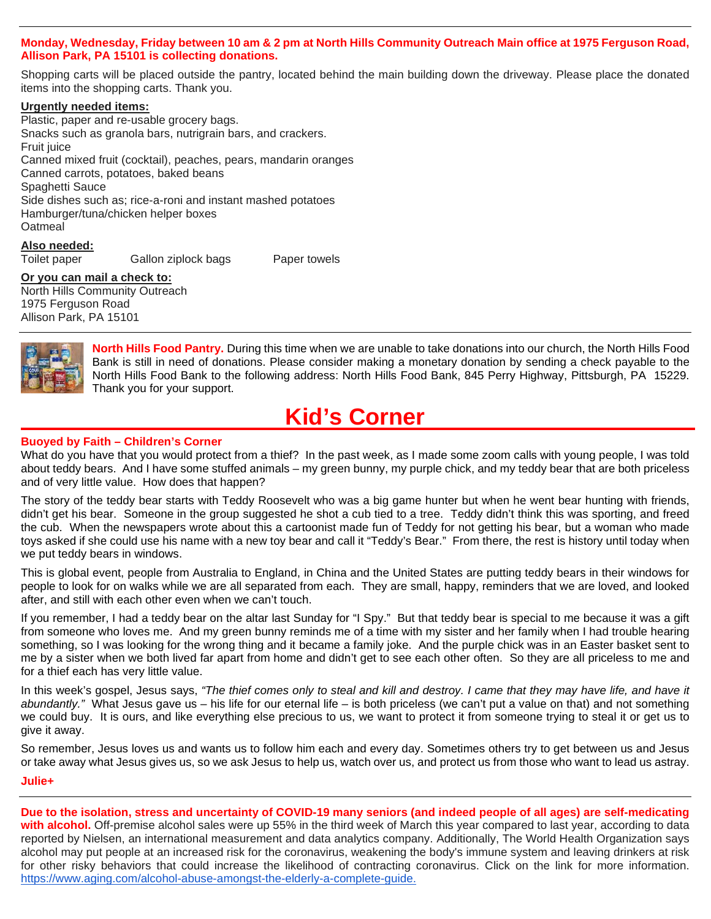#### **Monday, Wednesday, Friday between 10 am & 2 pm at North Hills Community Outreach Main office at 1975 Ferguson Road, Allison Park, PA 15101 is collecting donations.**

Shopping carts will be placed outside the pantry, located behind the main building down the driveway. Please place the donated items into the shopping carts. Thank you.

#### **Urgently needed items:**

Plastic, paper and re-usable grocery bags. Snacks such as granola bars, nutrigrain bars, and crackers. Fruit juice Canned mixed fruit (cocktail), peaches, pears, mandarin oranges Canned carrots, potatoes, baked beans Spaghetti Sauce Side dishes such as; rice-a-roni and instant mashed potatoes Hamburger/tuna/chicken helper boxes **Oatmeal** 

**Also needed:**

Toilet paper Gallon ziplock bags Paper towels

#### **Or you can mail a check to:**

North Hills Community Outreach 1975 Ferguson Road Allison Park, PA 15101



**North Hills Food Pantry.** During this time when we are unable to take donations into our church, the North Hills Food Bank is still in need of donations. Please consider making a monetary donation by sending a check payable to the North Hills Food Bank to the following address: North Hills Food Bank, 845 Perry Highway, Pittsburgh, PA 15229. Thank you for your support.

# **Kid's Corner**

### **Buoyed by Faith – Children's Corner**

What do you have that you would protect from a thief? In the past week, as I made some zoom calls with young people, I was told about teddy bears. And I have some stuffed animals – my green bunny, my purple chick, and my teddy bear that are both priceless and of very little value. How does that happen?

The story of the teddy bear starts with Teddy Roosevelt who was a big game hunter but when he went bear hunting with friends, didn't get his bear. Someone in the group suggested he shot a cub tied to a tree. Teddy didn't think this was sporting, and freed the cub. When the newspapers wrote about this a cartoonist made fun of Teddy for not getting his bear, but a woman who made toys asked if she could use his name with a new toy bear and call it "Teddy's Bear." From there, the rest is history until today when we put teddy bears in windows.

This is global event, people from Australia to England, in China and the United States are putting teddy bears in their windows for people to look for on walks while we are all separated from each. They are small, happy, reminders that we are loved, and looked after, and still with each other even when we can't touch.

If you remember, I had a teddy bear on the altar last Sunday for "I Spy." But that teddy bear is special to me because it was a gift from someone who loves me. And my green bunny reminds me of a time with my sister and her family when I had trouble hearing something, so I was looking for the wrong thing and it became a family joke. And the purple chick was in an Easter basket sent to me by a sister when we both lived far apart from home and didn't get to see each other often. So they are all priceless to me and for a thief each has very little value.

In this week's gospel, Jesus says, *"The thief comes only to steal and kill and destroy. I came that they may have life, and have it abundantly."* What Jesus gave us – his life for our eternal life – is both priceless (we can't put a value on that) and not something we could buy. It is ours, and like everything else precious to us, we want to protect it from someone trying to steal it or get us to give it away.

So remember, Jesus loves us and wants us to follow him each and every day. Sometimes others try to get between us and Jesus or take away what Jesus gives us, so we ask Jesus to help us, watch over us, and protect us from those who want to lead us astray. **Julie+**

**Due to the isolation, stress and uncertainty of COVID-19 many seniors (and indeed people of all ages) are self-medicating with alcohol.** Off-premise alcohol sales were up 55% in the third week of March this year compared to last year, according to data reported by Nielsen, an international measurement and data analytics company. Additionally, The World Health Organization says alcohol may put people at an increased risk for the coronavirus, weakening the body's immune system and leaving drinkers at risk for other risky behaviors that could increase the likelihood of contracting coronavirus. Click on the link for more information. [https://www.aging.com/alcohol-abuse-amongst-the-elderly-a-complete-guide.](http://xwz4m.mjt.lu/lnk/ANAAAG-t80QAAAAAAAAAAKgHi4YAAAAAFNQAAAAAAAyOegBenwpcX3spV1ETS6qC4w9U_HTXuQAMj68/1/iWoJoFEL9HYwThtx3KD03g/aHR0cDovL3h3ejRtLm1qdC5sdS9sbmsvQU1BQUFHNE1pSDBBQUFBQUFBQUFBS2dIaTRZQUFBQUFGTlFBQUFBQUFBeU9lZ0JlbGVzRzNFS3NnLU1zVER5ZFNnbDlpZU1GTXdBTWo2OC8xL0xIVlk3M2xjcW5DMkM4NFZmYmh1RlEvYUhSMGNITTZMeTkzZDNjdVlXZHBibWN1WTI5dEwyRnNZMjlvYjJ3dFlXSjFjMlV0WVcxdmJtZHpkQzEwYUdVdFpXeGtaWEpzZVMxaExXTnZiWEJzWlhSbExXZDFhV1Js)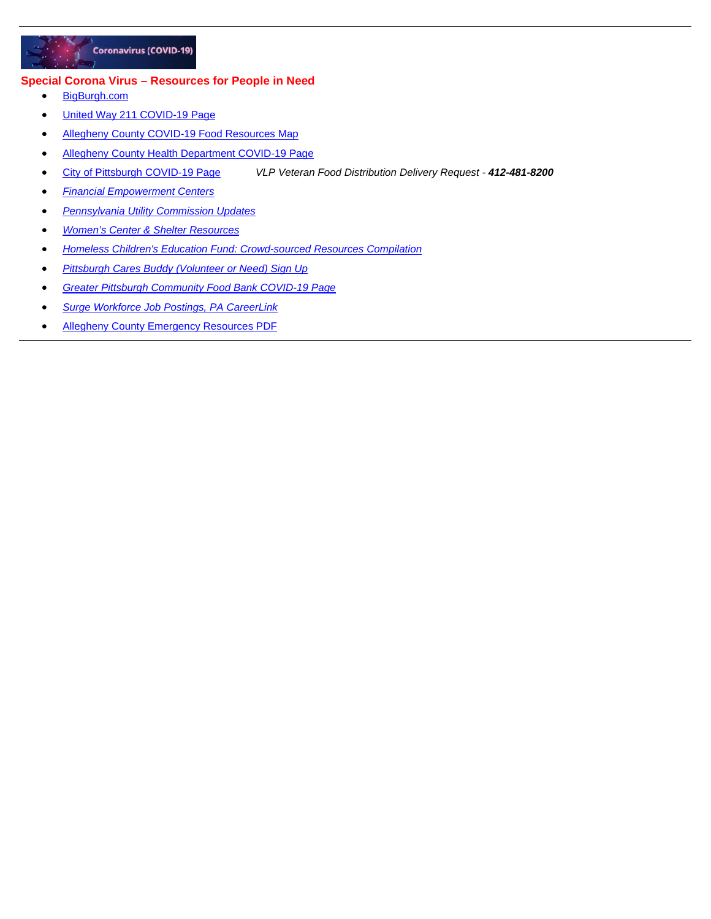

#### **Special Corona Virus – Resources for People in Need**

- [BigBurgh.com](http://r20.rs6.net/tn.jsp?f=001ND_uACwvu2YNwCplUES6JNM6YPoT-WRih_nFtjRvj_b2LHBp4EaQ6YX4dM7EDnhYtBqMlnvIColwbP6MQ8LzEc-Nlm9ThYyYEcSSbWL2jyTaJtxstzDM1emXvZMw_qXeYKRYNjMVsaktcFTEMRsWpA==&c=DMwBuJ3IBAlB3QXAhDqscsjabj6m59Ibrnc3GRF-tBPYc487u1TgYA==&ch=8PhaNsTFuA0Ur3PXsvLFwKfGkoVp9MwqC0Uzz39tjugH2Mr0Gh-rXQ==)
- [United Way 211 COVID-19 Page](http://r20.rs6.net/tn.jsp?f=001ND_uACwvu2YNwCplUES6JNM6YPoT-WRih_nFtjRvj_b2LHBp4EaQ6YX4dM7EDnhYuXfy1Yo-VKPX1E5NlOJNqtLBnufdiC2q8_KM12-iMkgThnXHyy19N9KM-KN0lb9ripiLnw7t2F6mmUCmd9PLCA==&c=DMwBuJ3IBAlB3QXAhDqscsjabj6m59Ibrnc3GRF-tBPYc487u1TgYA==&ch=8PhaNsTFuA0Ur3PXsvLFwKfGkoVp9MwqC0Uzz39tjugH2Mr0Gh-rXQ==)
- [Allegheny County COVID-19 Food Resources Map](http://r20.rs6.net/tn.jsp?f=001ND_uACwvu2YNwCplUES6JNM6YPoT-WRih_nFtjRvj_b2LHBp4EaQ6YX4dM7EDnhYq4_eJdExQVXdURfZLPazK_1vsUe1B7XPJHSoMRpEaTSZ2lYvVfdWO2A-F45CWlXCL3HJdonaaC4EdR5t8EQ0z7mAFkHHpsYuiHodZbY3ktG-0d7nHhGFXCCCdT3OLjtZ-3S28dBHF9Szu4jbMGrlkvKmDdj3g407MIefvfvAmYJ2--nDWjngos9dDQNzjrlZlB0YPt1mppl8mtDtlsb7C8x9R9ioa0qu1nQzmBaGWAVYVIb5GViZN4qZC4IYXbH8GxbO5jVqmxcrFy4XBj8YUzse2jAvG37u&c=DMwBuJ3IBAlB3QXAhDqscsjabj6m59Ibrnc3GRF-tBPYc487u1TgYA==&ch=8PhaNsTFuA0Ur3PXsvLFwKfGkoVp9MwqC0Uzz39tjugH2Mr0Gh-rXQ==)
- [Allegheny County Health Department COVID-19 Page](http://r20.rs6.net/tn.jsp?f=001ND_uACwvu2YNwCplUES6JNM6YPoT-WRih_nFtjRvj_b2LHBp4EaQ6YX4dM7EDnhYYAEPzKrP4e8B3ijtorktsfQKnq0Ft_ZqMjhgdodCTtYMgqF6LxjJkaJfWDlG6kLO1T6DKqtCww4Srv8Rk3kiNle_zDGGjZXqbTM48ys8WdmKpW78pRbLhPjWpHrf_npJq8CdmigIO8coH5Mg96gJ4gb4nGFeppg1BSHRa8oVGoM=&c=DMwBuJ3IBAlB3QXAhDqscsjabj6m59Ibrnc3GRF-tBPYc487u1TgYA==&ch=8PhaNsTFuA0Ur3PXsvLFwKfGkoVp9MwqC0Uzz39tjugH2Mr0Gh-rXQ==)
- [City of Pittsburgh COVID-19 Page](http://r20.rs6.net/tn.jsp?f=001ND_uACwvu2YNwCplUES6JNM6YPoT-WRih_nFtjRvj_b2LHBp4EaQ6YX4dM7EDnhYqOEA8hY-qo63cUsYdDZmbs_7Q3tUSjMlMkxnRb65Xo0GZ0-mVPm1UKLSAqCGUsdQwtRhS_ql380icbF_ePXCIveVX6-Ua0YEM0OaOo08D-U=&c=DMwBuJ3IBAlB3QXAhDqscsjabj6m59Ibrnc3GRF-tBPYc487u1TgYA==&ch=8PhaNsTFuA0Ur3PXsvLFwKfGkoVp9MwqC0Uzz39tjugH2Mr0Gh-rXQ==) *VLP Veteran Food Distribution Delivery Request - 412-481-8200*
- *[Financial Empowerment Centers](http://r20.rs6.net/tn.jsp?f=001ND_uACwvu2YNwCplUES6JNM6YPoT-WRih_nFtjRvj_b2LHBp4EaQ6YX4dM7EDnhYaphEO1k5qiwj0FZ8lGS9Sg-wlacZcxHCagF9mRkZPJGN6it3cOJo06O2x06RgnN_jK5qQtf1VDXjsI-Uogcvvw-rlTGYAI7iwHDsqgMWL2q8ZKDE9zp-aEhLqb28k2SQHp2bs6TbRHQe8BjWE8tIVyNqY-QHO-w2qAeQ0seoZ5c=&c=DMwBuJ3IBAlB3QXAhDqscsjabj6m59Ibrnc3GRF-tBPYc487u1TgYA==&ch=8PhaNsTFuA0Ur3PXsvLFwKfGkoVp9MwqC0Uzz39tjugH2Mr0Gh-rXQ==)*
- *[Pennsylvania Utility Commission Updates](http://r20.rs6.net/tn.jsp?f=001ND_uACwvu2YNwCplUES6JNM6YPoT-WRih_nFtjRvj_b2LHBp4EaQ6YX4dM7EDnhY50FtyHdp_ZgpZHNaqpZtEsUqGwXtRSoLDX99YHaKkGoo30BnBOXjyNzX5thTuCp1EAiWXXQkQGlpnkdw8AKzAlcQ1Z8TlwtCuFDAeVdXmoiziykk3biD_w==&c=DMwBuJ3IBAlB3QXAhDqscsjabj6m59Ibrnc3GRF-tBPYc487u1TgYA==&ch=8PhaNsTFuA0Ur3PXsvLFwKfGkoVp9MwqC0Uzz39tjugH2Mr0Gh-rXQ==)*
- *[Women's Center & Shelter Resources](http://r20.rs6.net/tn.jsp?f=001ND_uACwvu2YNwCplUES6JNM6YPoT-WRih_nFtjRvj_b2LHBp4EaQ6YX4dM7EDnhY4W0ar123F8YHwYuvIyhKF0chlBImmisj8VrDpEhUAw5-qYfzhXL0p07YpmdBpoA5qW5HPs89UcA2zfKjeEBPIeIC2tsEyz8Y&c=DMwBuJ3IBAlB3QXAhDqscsjabj6m59Ibrnc3GRF-tBPYc487u1TgYA==&ch=8PhaNsTFuA0Ur3PXsvLFwKfGkoVp9MwqC0Uzz39tjugH2Mr0Gh-rXQ==)*
- *[Homeless Children's Education Fund: Crowd-sourced Resources Compilation](http://r20.rs6.net/tn.jsp?f=001ND_uACwvu2YNwCplUES6JNM6YPoT-WRih_nFtjRvj_b2LHBp4EaQ6YX4dM7EDnhYmE7hj4kpEDq0M_qY-jK3nN6BqqAJoW9gOoNlhv5g2jdk_cxKaF3XYrk1yNxsGVM2xuDnYE4rAwZa4GHv1G6CBE86cz3l5v--Oje42w6OGCk1VuAal_mQIfi3UpUncoE1oHK5ApDgsQ_NNROYpMVHnKTvLETelmWuK_yVx-t26HX_jc6UJZTGewjeiQh1emdIAHinCl3bwn_EZvo0EYhvN4rSJowCzpXW2hHFuDQD73d9U2l9asVSbUwPhWJiClR2ZMwN6gu_zvw=&c=DMwBuJ3IBAlB3QXAhDqscsjabj6m59Ibrnc3GRF-tBPYc487u1TgYA==&ch=8PhaNsTFuA0Ur3PXsvLFwKfGkoVp9MwqC0Uzz39tjugH2Mr0Gh-rXQ==)*
- *[Pittsburgh Cares Buddy \(Volunteer or Need\) Sign Up](http://r20.rs6.net/tn.jsp?f=001ND_uACwvu2YNwCplUES6JNM6YPoT-WRih_nFtjRvj_b2LHBp4EaQ6YX4dM7EDnhYVRAy4OB9NlfLDODAk__a9MsU544zLSTR4pego9wRnG5iH-meYNhpVFsPTT3vDetSa2flaexRc_7EiVvRx107Art4j70z3x2SMgig-ogmS67vo6Wa94rX8rrhfOn0uKXQtQ8aaT1QiuFK2oOKlDlRbp1YmVEljvaJnBn9CQ5soljieME_svtSlHB4TDIdutd2qFFvFoWaK-EpUrD_By6bMnwNuLYWBo1Yv2JSsWlYQpSFbqd_LeGw3v6YmU79aTYKbbdRaCaT8J_wMRXaj-52I1Hx6ETLJq3R&c=DMwBuJ3IBAlB3QXAhDqscsjabj6m59Ibrnc3GRF-tBPYc487u1TgYA==&ch=8PhaNsTFuA0Ur3PXsvLFwKfGkoVp9MwqC0Uzz39tjugH2Mr0Gh-rXQ==)*
- *[Greater Pittsburgh Community Food Bank COVID-19 Page](http://r20.rs6.net/tn.jsp?f=001ND_uACwvu2YNwCplUES6JNM6YPoT-WRih_nFtjRvj_b2LHBp4EaQ6YX4dM7EDnhYefIx88_6HcTe6PmnNbRIg15BUwSX_qBpU-7IpWTSwv6QPTlWchmrnOzkuRHix2gc0hw8vq92Z5ws8MtYXJXCyO9CKjs5RmAO4h2qPBZ1KnE=&c=DMwBuJ3IBAlB3QXAhDqscsjabj6m59Ibrnc3GRF-tBPYc487u1TgYA==&ch=8PhaNsTFuA0Ur3PXsvLFwKfGkoVp9MwqC0Uzz39tjugH2Mr0Gh-rXQ==)*
- *[Surge Workforce Job Postings, PA CareerLink](http://r20.rs6.net/tn.jsp?f=001ND_uACwvu2YNwCplUES6JNM6YPoT-WRih_nFtjRvj_b2LHBp4EaQ6YX4dM7EDnhYHro0I7bFpJRoOIIAoLaxcESVMxypdSQN7m_Jx87u7fe8sxYC0wn7IEWEO9FnsWE_uW2c72dZuW0KMvFLLOdD0oSCSszP5MX_vekj49g4SfBjv58VrNhfE_H6ufFU7sgEwiECWXVAG8Q=&c=DMwBuJ3IBAlB3QXAhDqscsjabj6m59Ibrnc3GRF-tBPYc487u1TgYA==&ch=8PhaNsTFuA0Ur3PXsvLFwKfGkoVp9MwqC0Uzz39tjugH2Mr0Gh-rXQ==)*
- [Allegheny County Emergency Resources PDF](http://r20.rs6.net/tn.jsp?f=001ND_uACwvu2YNwCplUES6JNM6YPoT-WRih_nFtjRvj_b2LHBp4EaQ6Vd1__A2EE-YWLlmFIqr1O10vTbz_E_IPHzfyb_6d7FZyljMO2ejboUp2e-jFCjCL1-wzh8SPYzwVmWMDWM6z1yp6AdFmxlhMk5faWfbv5XpcxZCSrTxWtFgGm_fxzJvoBanYL4EVP-HPuOrPEHWyEGOsiEjXQ2BR-qkGNrGvbTbwrW-4rHcuXU=&c=DMwBuJ3IBAlB3QXAhDqscsjabj6m59Ibrnc3GRF-tBPYc487u1TgYA==&ch=8PhaNsTFuA0Ur3PXsvLFwKfGkoVp9MwqC0Uzz39tjugH2Mr0Gh-rXQ==)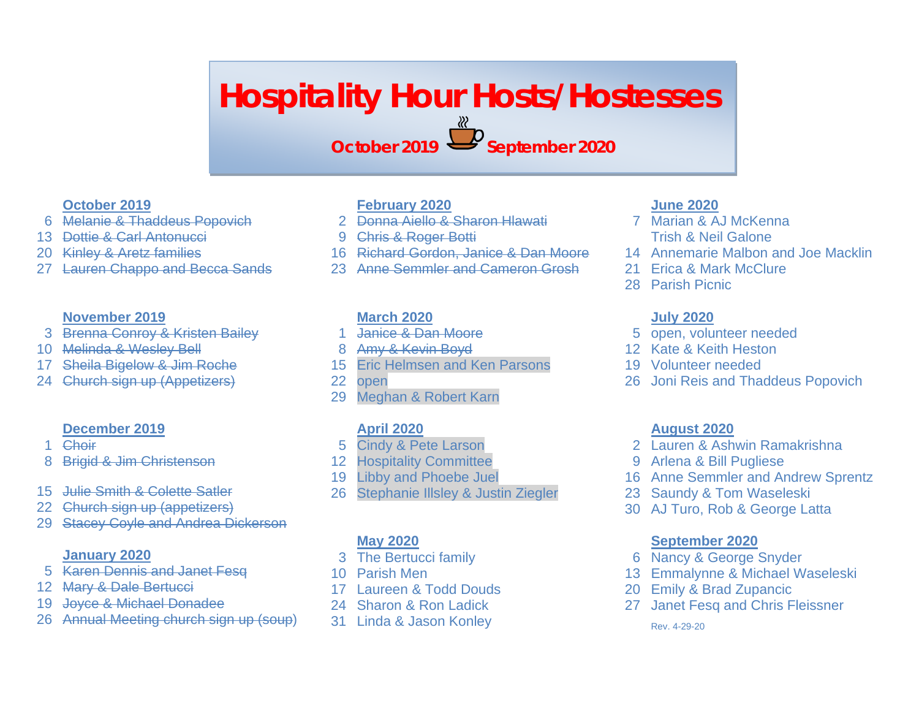# **Hospitality Hour Hosts/Hostesses**

**October 2019 September 2020**

# **October 2019**

- Melanie & Thaddeus Popovich
- Dottie & Carl Antonucci
- Kinley & Aretz families
- Lauren Chappo and Becca Sands

# **November 2019**

- Brenna Conroy & Kristen Bailey
- Melinda & Wesley Bell
- Sheila Bigelow & Jim Roche
- Church sign up (Appetizers)

# **December 2019**

- Choir
- Brigid & Jim Christenson
- Julie Smith & Colette Satler
- 22 Church sign up (appetizers)
- 29 Stacey Coyle and Andrea Dickerson

# **January 2020**

- Karen Dennis and Janet Fesq
- 12 Mary & Dale Bertucci
- Joyce & Michael Donadee
- Annual Meeting church sign up (soup)

# **February 2020**

- Donna Aiello & Sharon Hlawati
- Chris & Roger Botti
- Richard Gordon, Janice & Dan Moore
- Anne Semmler and Cameron Grosh

# **March 2020**

- Janice & Dan Moore
- Amy & Kevin Boyd
- Eric Helmsen and Ken Parsons
- open
- Meghan & Robert Karn

# **April 2020**

- Cindy & Pete Larson
- Hospitality Committee
- Libby and Phoebe Juel
- Stephanie Illsley & Justin Ziegler

# **May 2020**

- The Bertucci family
- Parish Men
- Laureen & Todd Douds
- Sharon & Ron Ladick
- Linda & Jason Konley

### **June 2020**

- Marian & AJ McKenna Trish & Neil Galone
- Annemarie Malbon and Joe Macklin
- Erica & Mark McClure
- Parish Picnic

# **July 2020**

- open, volunteer needed
- Kate & Keith Heston
- Volunteer needed
- Joni Reis and Thaddeus Popovich

### **August 2020**

- Lauren & Ashwin Ramakrishna
- Arlena & Bill Pugliese
- Anne Semmler and Andrew Sprentz
- Saundy & Tom Waseleski
- AJ Turo, Rob & George Latta

# **September 2020**

- Nancy & George Snyder
- Emmalynne & Michael Waseleski
- Emily & Brad Zupancic
- Janet Fesq and Chris Fleissner

Rev. 4-29-20